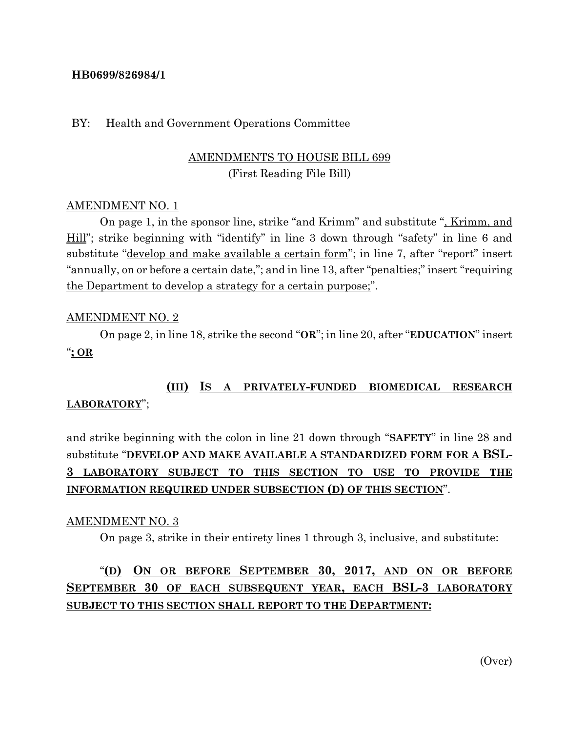### **HB0699/826984/1**

### BY: Health and Government Operations Committee

## AMENDMENTS TO HOUSE BILL 699 (First Reading File Bill)

### AMENDMENT NO. 1

On page 1, in the sponsor line, strike "and Krimm" and substitute ", Krimm, and Hill"; strike beginning with "identify" in line 3 down through "safety" in line 6 and substitute "<u>develop and make available a certain form</u>"; in line 7, after "report" insert "annually, on or before a certain date,"; and in line 13, after "penalties;" insert "requiring the Department to develop a strategy for a certain purpose;".

### AMENDMENT NO. 2

On page 2, in line 18, strike the second "**OR**"; in line 20, after "**EDUCATION**" insert "**; OR**

## **(III) IS A PRIVATELY-FUNDED BIOMEDICAL RESEARCH LABORATORY**";

# and strike beginning with the colon in line 21 down through "**SAFETY**" in line 28 and substitute "**DEVELOP AND MAKE AVAILABLE A STANDARDIZED FORM FOR A BSL-3 LABORATORY SUBJECT TO THIS SECTION TO USE TO PROVIDE THE INFORMATION REQUIRED UNDER SUBSECTION (D) OF THIS SECTION**".

#### AMENDMENT NO. 3

On page 3, strike in their entirety lines 1 through 3, inclusive, and substitute:

# "**(D) ON OR BEFORE SEPTEMBER 30, 2017, AND ON OR BEFORE SEPTEMBER 30 OF EACH SUBSEQUENT YEAR, EACH BSL-3 LABORATORY SUBJECT TO THIS SECTION SHALL REPORT TO THE DEPARTMENT:**

(Over)